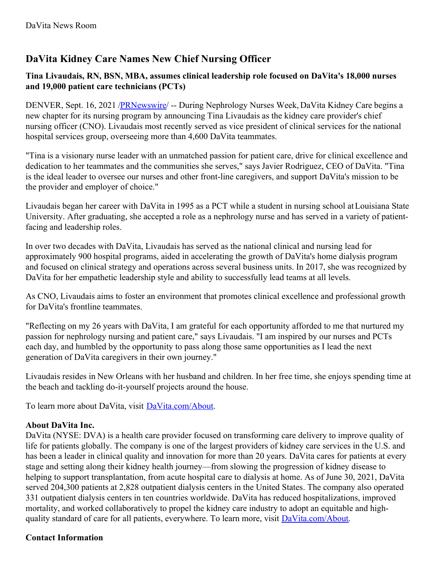## **DaVita Kidney Care Names New Chief Nursing Officer**

## **Tina Livaudais, RN, BSN, MBA, assumes clinical leadership role focused on DaVita's 18,000 nurses and 19,000 patient care technicians (PCTs)**

DENVER, Sept. 16, 2021 /**PRNewswire/** -- During Nephrology Nurses Week, DaVita Kidney Care begins a new chapter for its nursing program by announcing Tina Livaudais as the kidney care provider's chief nursing officer (CNO). Livaudais most recently served as vice president of clinical services for the national hospital services group, overseeing more than 4,600 DaVita teammates.

"Tina is a visionary nurse leader with an unmatched passion for patient care, drive for clinical excellence and dedication to her teammates and the communities she serves," says Javier Rodriguez, CEO of DaVita. "Tina is the ideal leader to oversee our nurses and other front-line caregivers, and support DaVita's mission to be the provider and employer of choice."

Livaudais began her career with DaVita in 1995 as a PCT while a student in nursing school atLouisiana State University. After graduating, she accepted a role as a nephrology nurse and has served in a variety of patientfacing and leadership roles.

In over two decades with DaVita, Livaudais has served as the national clinical and nursing lead for approximately 900 hospital programs, aided in accelerating the growth of DaVita's home dialysis program and focused on clinical strategy and operations across several business units. In 2017, she was recognized by DaVita for her empathetic leadership style and ability to successfully lead teams at all levels.

As CNO, Livaudais aims to foster an environment that promotes clinical excellence and professional growth for DaVita's frontline teammates.

"Reflecting on my 26 years with DaVita, I am grateful for each opportunity afforded to me that nurtured my passion for nephrology nursing and patient care," says Livaudais. "I am inspired by our nurses and PCTs each day, and humbled by the opportunity to pass along those same opportunities as I lead the next generation of DaVita caregivers in their own journey."

Livaudais resides in New Orleans with her husband and children. In her free time, she enjoys spending time at the beach and tackling do-it-yourself projects around the house.

To learn more about DaVita, visit [DaVita.com/About](https://c212.net/c/link/?t=0&l=en&o=3292813-1&h=4234566012&u=https%3A%2F%2Fwww.davita.com%2Fabout&a=DaVita.com%2FAbout).

## **About DaVita Inc.**

DaVita (NYSE: DVA) is a health care provider focused on transforming care delivery to improve quality of life for patients globally. The company is one of the largest providers of kidney care services in the U.S. and has been a leader in clinical quality and innovation for more than 20 years. DaVita cares for patients at every stage and setting along their kidney health journey—from slowing the progression of kidney disease to helping to support transplantation, from acute hospital care to dialysis at home. As of June 30, 2021, DaVita served 204,300 patients at 2,828 outpatient dialysis centers in the United States. The company also operated 331 outpatient dialysis centers in ten countries worldwide. DaVita has reduced hospitalizations, improved mortality, and worked collaboratively to propel the kidney care industry to adopt an equitable and high-quality standard of care for all patients, everywhere. To learn more, visit [DaVita.com/About](https://c212.net/c/link/?t=0&l=en&o=3292813-1&h=256121465&u=https%3A%2F%2Fc212.net%2Fc%2Flink%2F%3Ft%3D0%26l%3Den%26o%3D2730821-1%26h%3D2819268003%26u%3Dhttps%253A%252F%252Fwww.davita.com%252Fabout%26a%3DDaVita.com%252FAbout&a=DaVita.com%2FAbout).

## **Contact Information**